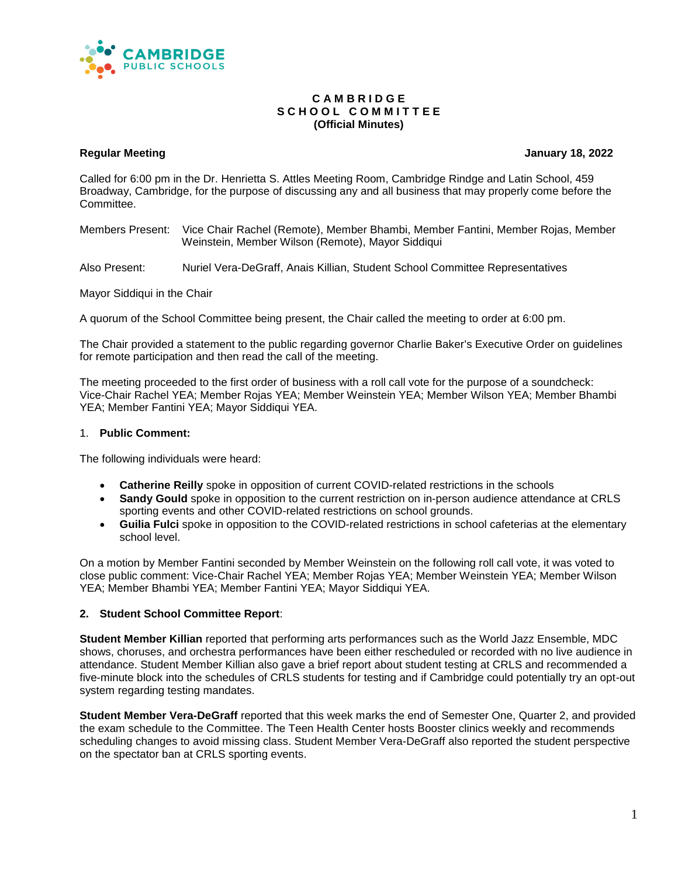

#### **C A M B R I D G E S C H O O L C O M M I T T E E (Official Minutes)**

#### **Regular Meeting January 18, 2022**

Called for 6:00 pm in the Dr. Henrietta S. Attles Meeting Room, Cambridge Rindge and Latin School, 459 Broadway, Cambridge, for the purpose of discussing any and all business that may properly come before the **Committee.** 

Members Present: Vice Chair Rachel (Remote), Member Bhambi, Member Fantini, Member Rojas, Member Weinstein, Member Wilson (Remote), Mayor Siddiqui

Also Present: Nuriel Vera-DeGraff, Anais Killian, Student School Committee Representatives

Mayor Siddiqui in the Chair

A quorum of the School Committee being present, the Chair called the meeting to order at 6:00 pm.

The Chair provided a statement to the public regarding governor Charlie Baker's Executive Order on guidelines for remote participation and then read the call of the meeting.

The meeting proceeded to the first order of business with a roll call vote for the purpose of a soundcheck: Vice-Chair Rachel YEA; Member Rojas YEA; Member Weinstein YEA; Member Wilson YEA; Member Bhambi YEA; Member Fantini YEA; Mayor Siddiqui YEA.

#### 1. **Public Comment:**

The following individuals were heard:

- **Catherine Reilly** spoke in opposition of current COVID-related restrictions in the schools
- **Sandy Gould** spoke in opposition to the current restriction on in-person audience attendance at CRLS sporting events and other COVID-related restrictions on school grounds.
- **Guilia Fulci** spoke in opposition to the COVID-related restrictions in school cafeterias at the elementary school level.

On a motion by Member Fantini seconded by Member Weinstein on the following roll call vote, it was voted to close public comment: Vice-Chair Rachel YEA; Member Rojas YEA; Member Weinstein YEA; Member Wilson YEA; Member Bhambi YEA; Member Fantini YEA; Mayor Siddiqui YEA.

#### **2. Student School Committee Report**:

**Student Member Killian** reported that performing arts performances such as the World Jazz Ensemble, MDC shows, choruses, and orchestra performances have been either rescheduled or recorded with no live audience in attendance. Student Member Killian also gave a brief report about student testing at CRLS and recommended a five-minute block into the schedules of CRLS students for testing and if Cambridge could potentially try an opt-out system regarding testing mandates.

**Student Member Vera-DeGraff** reported that this week marks the end of Semester One, Quarter 2, and provided the exam schedule to the Committee. The Teen Health Center hosts Booster clinics weekly and recommends scheduling changes to avoid missing class. Student Member Vera-DeGraff also reported the student perspective on the spectator ban at CRLS sporting events.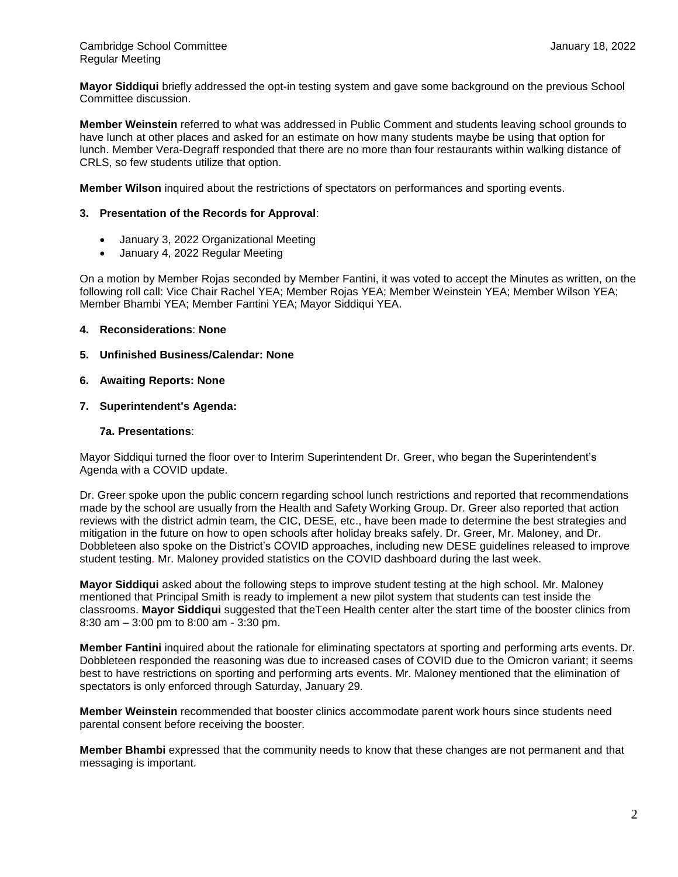**Mayor Siddiqui** briefly addressed the opt-in testing system and gave some background on the previous School Committee discussion.

**Member Weinstein** referred to what was addressed in Public Comment and students leaving school grounds to have lunch at other places and asked for an estimate on how many students maybe be using that option for lunch. Member Vera-Degraff responded that there are no more than four restaurants within walking distance of CRLS, so few students utilize that option.

**Member Wilson** inquired about the restrictions of spectators on performances and sporting events.

### **3. Presentation of the Records for Approval**:

- January 3, 2022 Organizational Meeting
- January 4, 2022 Regular Meeting

On a motion by Member Rojas seconded by Member Fantini, it was voted to accept the Minutes as written, on the following roll call: Vice Chair Rachel YEA; Member Rojas YEA; Member Weinstein YEA; Member Wilson YEA; Member Bhambi YEA; Member Fantini YEA; Mayor Siddiqui YEA.

#### **4. Reconsiderations**: **None**

**5. Unfinished Business/Calendar: None**

# **6. Awaiting Reports: None**

**7. Superintendent's Agenda:**

#### **7a. Presentations**:

Mayor Siddiqui turned the floor over to Interim Superintendent Dr. Greer, who began the Superintendent's Agenda with a COVID update.

Dr. Greer spoke upon the public concern regarding school lunch restrictions and reported that recommendations made by the school are usually from the Health and Safety Working Group. Dr. Greer also reported that action reviews with the district admin team, the CIC, DESE, etc., have been made to determine the best strategies and mitigation in the future on how to open schools after holiday breaks safely. Dr. Greer, Mr. Maloney, and Dr. Dobbleteen also spoke on the District's COVID approaches, including new DESE guidelines released to improve student testing. Mr. Maloney provided statistics on the COVID dashboard during the last week.

**Mayor Siddiqui** asked about the following steps to improve student testing at the high school. Mr. Maloney mentioned that Principal Smith is ready to implement a new pilot system that students can test inside the classrooms. **Mayor Siddiqui** suggested that theTeen Health center alter the start time of the booster clinics from 8:30 am – 3:00 pm to 8:00 am - 3:30 pm.

**Member Fantini** inquired about the rationale for eliminating spectators at sporting and performing arts events. Dr. Dobbleteen responded the reasoning was due to increased cases of COVID due to the Omicron variant; it seems best to have restrictions on sporting and performing arts events. Mr. Maloney mentioned that the elimination of spectators is only enforced through Saturday, January 29.

**Member Weinstein** recommended that booster clinics accommodate parent work hours since students need parental consent before receiving the booster.

**Member Bhambi** expressed that the community needs to know that these changes are not permanent and that messaging is important.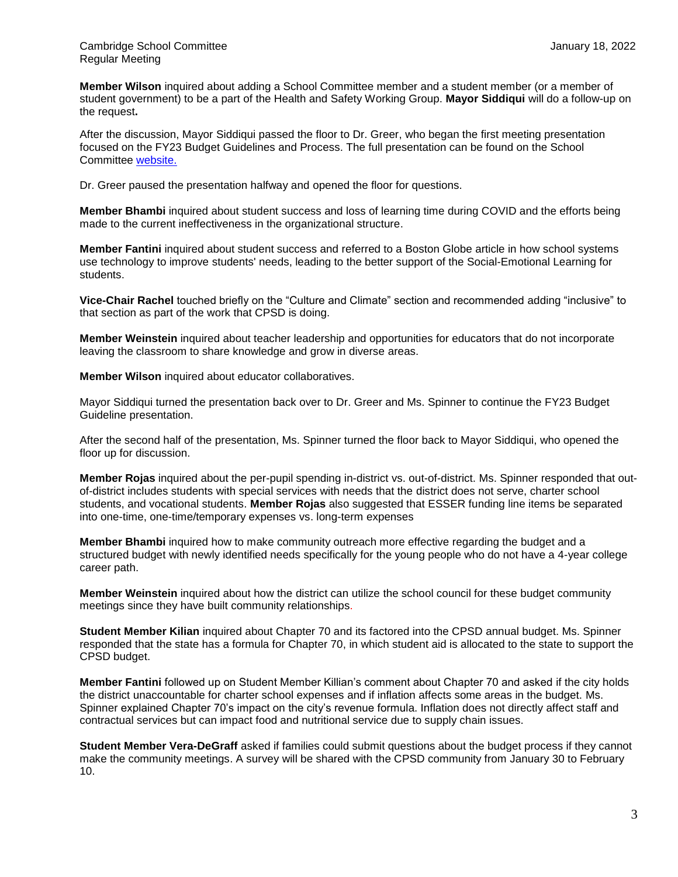**Member Wilson** inquired about adding a School Committee member and a student member (or a member of student government) to be a part of the Health and Safety Working Group. **Mayor Siddiqui** will do a follow-up on the request**.**

After the discussion, Mayor Siddiqui passed the floor to Dr. Greer, who began the first meeting presentation focused on the FY23 Budget Guidelines and Process. The full presentation can be found on the School Committee [website.](https://docs.google.com/presentation/d/1JlZXTJXoBwWgFa388UXZ_UlExaxE3DthXQHwWu9Fri0/edit#slide=id.g10af0432f1b_2_0)

Dr. Greer paused the presentation halfway and opened the floor for questions.

**Member Bhambi** inquired about student success and loss of learning time during COVID and the efforts being made to the current ineffectiveness in the organizational structure.

**Member Fantini** inquired about student success and referred to a Boston Globe article in how school systems use technology to improve students' needs, leading to the better support of the Social-Emotional Learning for students.

**Vice-Chair Rachel** touched briefly on the "Culture and Climate" section and recommended adding "inclusive" to that section as part of the work that CPSD is doing.

**Member Weinstein** inquired about teacher leadership and opportunities for educators that do not incorporate leaving the classroom to share knowledge and grow in diverse areas.

**Member Wilson** inquired about educator collaboratives.

Mayor Siddiqui turned the presentation back over to Dr. Greer and Ms. Spinner to continue the FY23 Budget Guideline presentation.

After the second half of the presentation, Ms. Spinner turned the floor back to Mayor Siddiqui, who opened the floor up for discussion.

**Member Rojas** inquired about the per-pupil spending in-district vs. out-of-district. Ms. Spinner responded that outof-district includes students with special services with needs that the district does not serve, charter school students, and vocational students. **Member Rojas** also suggested that ESSER funding line items be separated into one-time, one-time/temporary expenses vs. long-term expenses

**Member Bhambi** inquired how to make community outreach more effective regarding the budget and a structured budget with newly identified needs specifically for the young people who do not have a 4-year college career path.

**Member Weinstein** inquired about how the district can utilize the school council for these budget community meetings since they have built community relationships.

**Student Member Kilian** inquired about Chapter 70 and its factored into the CPSD annual budget. Ms. Spinner responded that the state has a formula for Chapter 70, in which student aid is allocated to the state to support the CPSD budget.

**Member Fantini** followed up on Student Member Killian's comment about Chapter 70 and asked if the city holds the district unaccountable for charter school expenses and if inflation affects some areas in the budget. Ms. Spinner explained Chapter 70's impact on the city's revenue formula. Inflation does not directly affect staff and contractual services but can impact food and nutritional service due to supply chain issues.

**Student Member Vera-DeGraff** asked if families could submit questions about the budget process if they cannot make the community meetings. A survey will be shared with the CPSD community from January 30 to February 10.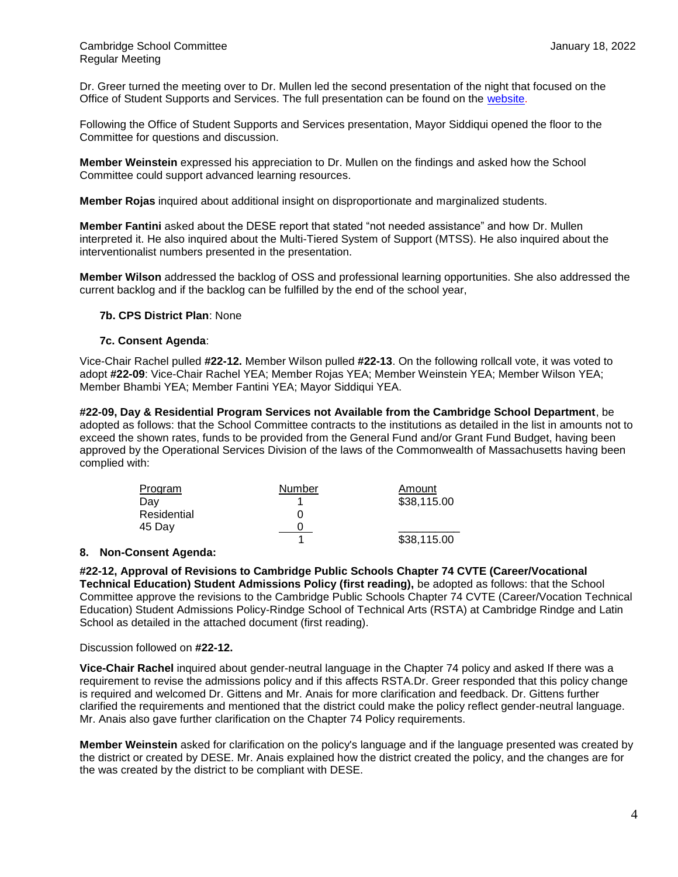Dr. Greer turned the meeting over to Dr. Mullen led the second presentation of the night that focused on the Office of Student Supports and Services. The full presentation can be found on the [website.](https://cdn5-ss5.sharpschool.com/UserFiles/Servers/Server_3042785/File/departments/administration/oss/2021-22/OSS_School_Committee_2022.18.01.pdf)

Following the Office of Student Supports and Services presentation, Mayor Siddiqui opened the floor to the Committee for questions and discussion.

**Member Weinstein** expressed his appreciation to Dr. Mullen on the findings and asked how the School Committee could support advanced learning resources.

**Member Rojas** inquired about additional insight on disproportionate and marginalized students.

**Member Fantini** asked about the DESE report that stated "not needed assistance" and how Dr. Mullen interpreted it. He also inquired about the Multi-Tiered System of Support (MTSS). He also inquired about the interventionalist numbers presented in the presentation.

**Member Wilson** addressed the backlog of OSS and professional learning opportunities. She also addressed the current backlog and if the backlog can be fulfilled by the end of the school year,

# **7b. CPS District Plan**: None

# **7c. Consent Agenda**:

Vice-Chair Rachel pulled **#22-12.** Member Wilson pulled **#22-13**. On the following rollcall vote, it was voted to adopt **#22-09**: Vice-Chair Rachel YEA; Member Rojas YEA; Member Weinstein YEA; Member Wilson YEA; Member Bhambi YEA; Member Fantini YEA; Mayor Siddiqui YEA.

**#22-09, Day & Residential Program Services not Available from the Cambridge School Department**, be adopted as follows: that the School Committee contracts to the institutions as detailed in the list in amounts not to exceed the shown rates, funds to be provided from the General Fund and/or Grant Fund Budget, having been approved by the Operational Services Division of the laws of the Commonwealth of Massachusetts having been complied with:

| Program     | Number | Amount      |
|-------------|--------|-------------|
| Dav         |        | \$38,115.00 |
| Residential |        |             |
| 45 Day      |        |             |
|             |        | \$38,115.00 |

#### **8. Non-Consent Agenda:**

**#22-12, Approval of Revisions to Cambridge Public Schools Chapter 74 CVTE (Career/Vocational Technical Education) Student Admissions Policy (first reading),** be adopted as follows: that the School Committee approve the revisions to the Cambridge Public Schools Chapter 74 CVTE (Career/Vocation Technical Education) Student Admissions Policy-Rindge School of Technical Arts (RSTA) at Cambridge Rindge and Latin School as detailed in the attached document (first reading).

#### Discussion followed on **#22-12.**

**Vice-Chair Rachel** inquired about gender-neutral language in the Chapter 74 policy and asked If there was a requirement to revise the admissions policy and if this affects RSTA.Dr. Greer responded that this policy change is required and welcomed Dr. Gittens and Mr. Anais for more clarification and feedback. Dr. Gittens further clarified the requirements and mentioned that the district could make the policy reflect gender-neutral language. Mr. Anais also gave further clarification on the Chapter 74 Policy requirements.

**Member Weinstein** asked for clarification on the policy's language and if the language presented was created by the district or created by DESE. Mr. Anais explained how the district created the policy, and the changes are for the was created by the district to be compliant with DESE.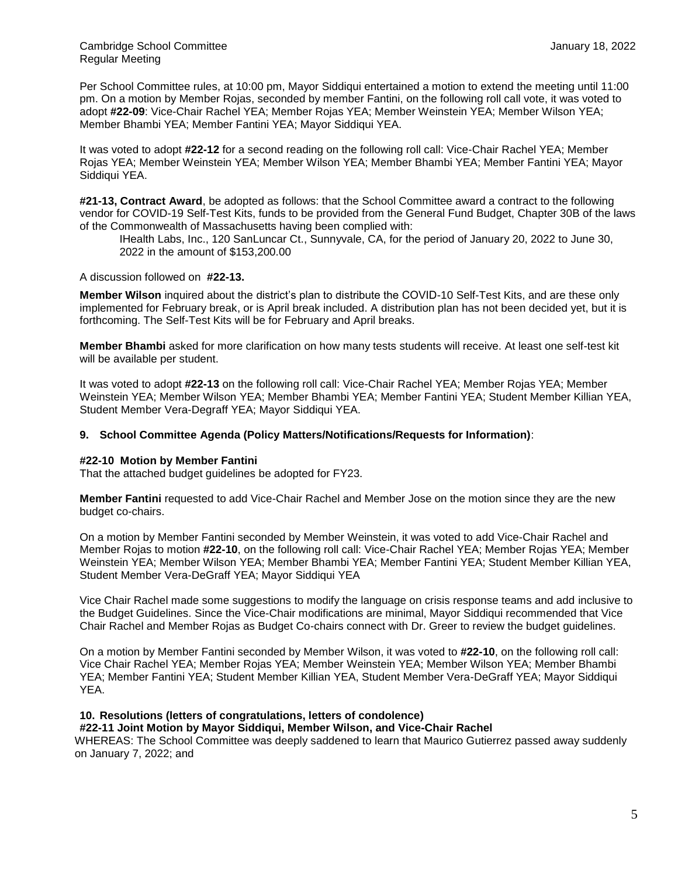Per School Committee rules, at 10:00 pm, Mayor Siddiqui entertained a motion to extend the meeting until 11:00 pm. On a motion by Member Rojas, seconded by member Fantini, on the following roll call vote, it was voted to adopt **#22-09**: Vice-Chair Rachel YEA; Member Rojas YEA; Member Weinstein YEA; Member Wilson YEA; Member Bhambi YEA; Member Fantini YEA; Mayor Siddiqui YEA.

It was voted to adopt **#22-12** for a second reading on the following roll call: Vice-Chair Rachel YEA; Member Rojas YEA; Member Weinstein YEA; Member Wilson YEA; Member Bhambi YEA; Member Fantini YEA; Mayor Siddiqui YEA.

**#21-13, Contract Award**, be adopted as follows: that the School Committee award a contract to the following vendor for COVID-19 Self-Test Kits, funds to be provided from the General Fund Budget, Chapter 30B of the laws of the Commonwealth of Massachusetts having been complied with:

IHealth Labs, Inc., 120 SanLuncar Ct., Sunnyvale, CA, for the period of January 20, 2022 to June 30, 2022 in the amount of \$153,200.00

A discussion followed on **#22-13.** 

**Member Wilson** inquired about the district's plan to distribute the COVID-10 Self-Test Kits, and are these only implemented for February break, or is April break included. A distribution plan has not been decided yet, but it is forthcoming. The Self-Test Kits will be for February and April breaks.

**Member Bhambi** asked for more clarification on how many tests students will receive. At least one self-test kit will be available per student.

It was voted to adopt **#22-13** on the following roll call: Vice-Chair Rachel YEA; Member Rojas YEA; Member Weinstein YEA; Member Wilson YEA; Member Bhambi YEA; Member Fantini YEA; Student Member Killian YEA, Student Member Vera-Degraff YEA; Mayor Siddiqui YEA.

# **9. School Committee Agenda (Policy Matters/Notifications/Requests for Information)**:

#### **#22-10 Motion by Member Fantini**

That the attached budget guidelines be adopted for FY23.

**Member Fantini** requested to add Vice-Chair Rachel and Member Jose on the motion since they are the new budget co-chairs.

On a motion by Member Fantini seconded by Member Weinstein, it was voted to add Vice-Chair Rachel and Member Rojas to motion **#22-10**, on the following roll call: Vice-Chair Rachel YEA; Member Rojas YEA; Member Weinstein YEA; Member Wilson YEA; Member Bhambi YEA; Member Fantini YEA; Student Member Killian YEA, Student Member Vera-DeGraff YEA; Mayor Siddiqui YEA

Vice Chair Rachel made some suggestions to modify the language on crisis response teams and add inclusive to the Budget Guidelines. Since the Vice-Chair modifications are minimal, Mayor Siddiqui recommended that Vice Chair Rachel and Member Rojas as Budget Co-chairs connect with Dr. Greer to review the budget guidelines.

On a motion by Member Fantini seconded by Member Wilson, it was voted to **#22-10**, on the following roll call: Vice Chair Rachel YEA; Member Rojas YEA; Member Weinstein YEA; Member Wilson YEA; Member Bhambi YEA; Member Fantini YEA; Student Member Killian YEA, Student Member Vera-DeGraff YEA; Mayor Siddiqui YEA.

# **10. Resolutions (letters of congratulations, letters of condolence)**

#### **#22-11 Joint Motion by Mayor Siddiqui, Member Wilson, and Vice-Chair Rachel**

WHEREAS: The School Committee was deeply saddened to learn that Maurico Gutierrez passed away suddenly on January 7, 2022; and